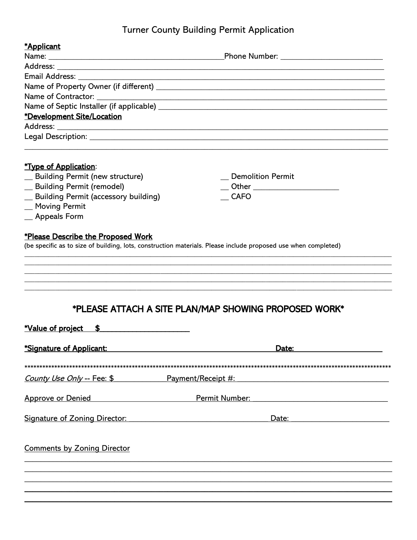# Turner County Building Permit Application

| *Applicant<br>Email Address: ______________<br>*Development Site/Location                                                                                                                                                   | and the control of the control of the control of the control of the control of the control of the control of the<br>Legal Description: New York 2014 19:00 19:00 19:00 19:00 19:00 19:00 19:00 19:00 19:00 19:00 19:00 19:00 19:00 |
|-----------------------------------------------------------------------------------------------------------------------------------------------------------------------------------------------------------------------------|------------------------------------------------------------------------------------------------------------------------------------------------------------------------------------------------------------------------------------|
| <b>*Type of Application:</b><br>_ Building Permit (new structure)<br>_ Building Permit (remodel)<br>_ Building Permit (accessory building)<br>_Moving Permit<br>_ Appeals Form<br><i>*Please Describe the Proposed Work</i> | <b>Demolition Permit</b><br><b>CAFO</b><br>(be specific as to size of building, lots, construction materials. Please include proposed use when completed)                                                                          |
| *PLEASE ATTACH A SITE PLAN/MAP SHOWING PROPOSED WORK*<br><u>*Value of project \$</u>                                                                                                                                        |                                                                                                                                                                                                                                    |
| *Signature of Applicant:                                                                                                                                                                                                    | Date:                                                                                                                                                                                                                              |
|                                                                                                                                                                                                                             | <u>County Use Only -- Fee: \$ Payment/Receipt #: County Use Only -- Fee: \$ Payment/Receipt #:</u>                                                                                                                                 |
| <u> 1980 - Johann Barbara, martx</u><br><b>Approve or Denied</b>                                                                                                                                                            | Permit Number:<br><u> 1980 - Johann John Stone, markin f</u>                                                                                                                                                                       |
| <b>Signature of Zoning Director:</b>                                                                                                                                                                                        | Date:<br><u> 1989 - Johann Barbara, martxa alemaniar populari (h. 1989)</u>                                                                                                                                                        |

**Comments by Zoning Director**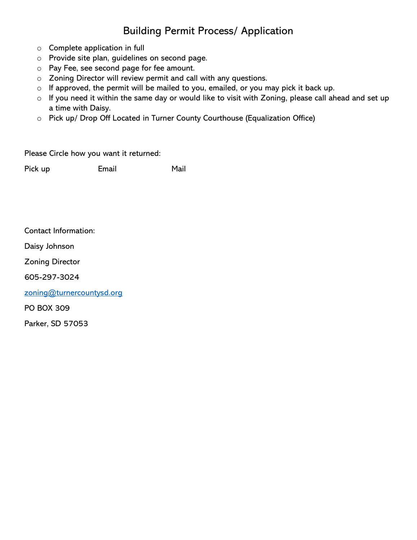# Building Permit Process/ Application

- o Complete application in full
- o Provide site plan, guidelines on second page.
- o Pay Fee, see second page for fee amount.
- o Zoning Director will review permit and call with any questions.
- o If approved, the permit will be mailed to you, emailed, or you may pick it back up.
- o If you need it within the same day or would like to visit with Zoning, please call ahead and set up a time with Daisy.
- o Pick up/ Drop Off Located in Turner County Courthouse (Equalization Office)

Please Circle how you want it returned:

Pick up **Email** Mail

Contact Information:

Daisy Johnson

Zoning Director

605-297-3024

[zoning@turnercountysd.org](mailto:zoning@turnercountysd.org)

PO BOX 309

Parker, SD 57053